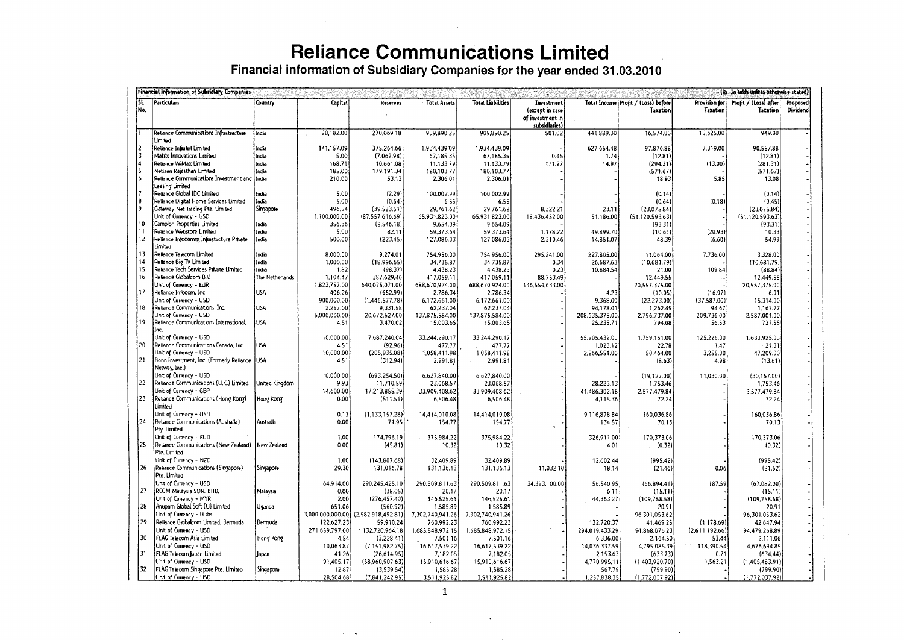|            |    |                                                               |                 |                        |                                 |                           | <b>Reliance Communications Limited</b>                                      |                                                                    |                           |                                                   |                           |                                          |                      |
|------------|----|---------------------------------------------------------------|-----------------|------------------------|---------------------------------|---------------------------|-----------------------------------------------------------------------------|--------------------------------------------------------------------|---------------------------|---------------------------------------------------|---------------------------|------------------------------------------|----------------------|
|            |    |                                                               |                 |                        |                                 |                           | Financial information of Subsidiary Companies for the year ended 31.03.2010 |                                                                    |                           |                                                   |                           |                                          |                      |
|            |    | Financial information of Subsidiary Companies                 |                 |                        |                                 |                           |                                                                             |                                                                    |                           |                                                   |                           | (Rs. In lakh unless otherwise stated)    |                      |
| 'SL<br>No. |    | <b>Particulars</b>                                            | Country         | Capitat                | Reserves                        | · Total Assets            | <b>Totat Liabilities</b>                                                    | Investment<br>(except in case<br>of investment in<br>subsidiaries) |                           | Total Income   Profit / (Loss) before<br>Taxation | Provision for<br>Taxation | Profit / (Loss) after<br><b>Taxation</b> | Proposed<br>Dividend |
|            |    | Reliance Communications Infrastructure                        | India           | 20,102.00              | 270,069.18                      | 909,890.25                | 909,890.25                                                                  | 501.02                                                             | 441,889.00                | 16,574.00                                         | 15,625.00                 | 949.00                                   |                      |
| 2          |    | Limited                                                       |                 |                        |                                 |                           |                                                                             |                                                                    |                           |                                                   |                           |                                          |                      |
| 13         |    | Retiance Infratel Limited<br>Matrix Innovations Limited       | India<br>India  | 141,157.09<br>5.00     | 375,264.66<br>(7,062.98)        | 1,934,439.09<br>67,185.35 | 1,934,439,09<br>67,185.35                                                   | 0.45                                                               | 627,654.48<br>1.74        | 97,876.88<br>(12.81)                              | 7,319.00                  | 90,557.88<br>(12.81)                     |                      |
|            |    | Reliance WiMax Limited                                        | India           | 168,71                 | 10,661.08                       | 11,133.79                 | 11,133.79                                                                   | 171.27                                                             | 14.97                     | (294.31)                                          | (13.00)                   | (281.31)                                 |                      |
| Ĩ٤         |    | Netizen Rajasthan Limited                                     | India           | 185.00                 | 179,191.34                      | 180,103.7                 | 180,103.77                                                                  |                                                                    |                           | (571.67)                                          |                           | (571.67)                                 |                      |
| l6.        |    | Retiance Communications Investment and India                  |                 | 210.00                 | 53.13                           | 2,306.01                  | 2,306.01                                                                    |                                                                    |                           | 18.93                                             | 5.85                      | 13.08                                    |                      |
|            |    | Leasing Limited                                               |                 |                        |                                 |                           |                                                                             |                                                                    |                           |                                                   |                           |                                          |                      |
|            |    | Retiance Global IDC Limited                                   | India           | 5.00                   | (2.29)                          | 100,002.99                | 100,002.99                                                                  |                                                                    |                           | (0.14)                                            |                           | (0.14)                                   |                      |
|            |    | Retiance Digital Home Services Limited                        | India           | 5.00                   | (0.64)                          | 6.55                      | 6.55                                                                        |                                                                    |                           | (0.64)                                            | (0.18)                    | (0.45)                                   |                      |
| I۹         |    | Gateway Net Trading Pte. Limited                              | Singapore       | 496.54                 | (39, 523.51)                    | 29,761.62                 | 29,761.62                                                                   | 8,322.21                                                           | 23.11                     | (23,075.84)                                       |                           | (23,075.84)                              |                      |
|            |    | Unit of Currency - USD                                        |                 | 1.100.000.00           | (87.557.616.69)                 | 65.931,823.00             | 65.931.823.00                                                               | 18,436,452.00                                                      | 51,186.00                 | (51, 120, 593.63)                                 |                           | (51.120.593.63)                          |                      |
| 10<br>11   |    | Campion Properties Limited                                    | India           | 356.36                 | (2,546.18)                      | 9,654.09                  | 9,654.09                                                                    |                                                                    |                           | (93.31)                                           |                           | (93.31)                                  |                      |
| 12         |    | Retiance Webstore Limited                                     | India           | 5.00                   | 82.11                           | 59.373.64                 | 59,373.64                                                                   | 1,178.22                                                           | 49.899.70                 | (10.61)                                           | (20.93)                   | 10.33                                    |                      |
|            |    | Retiance Infocomm Infrastucture Private<br>Limited            | India           | 500.00                 | (223.45)                        | 127,086.03                | 127,086.03                                                                  | 2,310.46                                                           | 14,851.07                 | 48.39                                             | (6.60)                    | 54.99                                    |                      |
| 13         |    | Reliance Telecom Limited                                      | India           | 8,000.00               | 9,274.01                        | 754,956.00                | 754,956.00                                                                  | 295,241.00                                                         | 227,805.00                | 11,064.00                                         | 7,736.00                  | 3,328.00                                 |                      |
| 14         |    | Retlance Big TV Limited                                       | India           | 1,000.00               | (18.996.65)                     | 34,735.87                 | 34,735.87                                                                   | 0.34                                                               | 26,687.63                 | (10,681.79)                                       |                           | (10.681.79)                              |                      |
| 15         |    | Reliance Tech Services Private Limited                        | India           | 1.82                   | (98.37)                         | 4,438.23                  | 4,438.23                                                                    | 0.23                                                               | 10,884.54                 | 21.00                                             | 109.84                    | (88.84)                                  |                      |
| 16         |    | Retiance Globalcom B.V.                                       | The Netherlands | 1,104.47               | 387.629.46                      | 417,059.11                | 417,059.11                                                                  | 88,753.49                                                          |                           | 12,449.55                                         |                           | 12,449.55                                |                      |
| 17         |    | Unit of Currency - EUR                                        |                 | 1,823,757.00           | 640,075,071.00                  | 688,670,924.00            | 688,670,924.00                                                              | 146,554,633.00                                                     |                           | 20,557,375.00                                     |                           | 20,557,375.00                            |                      |
|            |    | Reliance Infocom, Inc.<br>Unit of Currency - USD              | USA             | 406.26<br>900,000,00   | (652.99)                        | 2.786.34                  | 2,786.34                                                                    |                                                                    | 4.23                      | (10.05)                                           | (16.97)<br>(37.587.00)    | 6.91                                     |                      |
| 18         |    | Reliance Communications, Inc.                                 | USA             | 2,257.00               | (1,446,577.78)<br>9.331.58      | 6.172.661.00<br>62,237.04 | 6,172,661.00<br>62,237.04                                                   |                                                                    | 9,368.00<br>94.178.01     | (22, 273.00)<br>1,262.45                          | 94.67                     | 15,314.00<br>1.167.77                    |                      |
|            |    | Unit of Currency - USD                                        |                 | 5,000,000.00           | 20,672,527.00                   | 137,875,584.00            | 137,875,584.00                                                              |                                                                    | 208,635,375.00            | 2,796,737.00                                      | 209,736.00                | 2,587,001.00                             |                      |
| 19         |    | Retiance Communications International                         | <b>USA</b>      | 4.51                   | 3.470.02                        | 15,003.65                 | 15,003.65                                                                   |                                                                    | 25,235.71                 | 794.08                                            | 56.53                     | 737.55                                   |                      |
|            |    | Inc.                                                          |                 |                        |                                 |                           |                                                                             |                                                                    |                           |                                                   |                           |                                          |                      |
|            |    | Unit of Currency - USD                                        |                 | 10.000.00              | 7,687,240.04                    | 33.244.290.17             | 33.244.290.17                                                               |                                                                    | 55,905,432.00             | 1.759.151.00                                      | 125.226.00                | 1.633.925.00                             |                      |
| 20         |    | Reliance Communications Canada, Inc.                          | <b>USA</b>      | 4.51                   | (92.96)                         | 477.77                    | 477.77                                                                      |                                                                    | 1,023.12                  | 22.78                                             | 1.47                      | 21.31                                    |                      |
|            |    | Unit of Currency - USD                                        |                 | 10.000.00              | (205, 935.08)                   | 1,058,411.98              | 1.058,411.98                                                                |                                                                    | 2,266,551.00              | 50,464.00                                         | 3,255.00                  | 47,209.00                                |                      |
| 21         |    | Bonn Investment, Inc. (Formerly Retiance USA<br>Netway, Inc.) |                 | 4.51                   | (312.94)                        | 2,991.81                  | 2,991.81                                                                    |                                                                    |                           | (8.63)                                            | 4.98                      | (13.61)                                  |                      |
|            |    | Unit of Currency - USD                                        |                 | 10,000.00              | (693, 254.50)                   | 6,627,840.00              | 6,627,840.00                                                                |                                                                    |                           | (19, 127.00)                                      | 11,030.00                 | (30, 157.00)                             |                      |
| 22         |    | Reliance Communications (U.K.) Limited                        | United Kingdom  | 9.93                   | 11,710.59                       | 23,068.57                 | 23,068.57                                                                   |                                                                    | 28,223.13                 | 1,753.46                                          |                           | 1.753.46                                 |                      |
|            |    | Unit of Currency - GBP                                        |                 | 14,600.00              | 17,213,855.39                   | 33,909,408.62             | 33,909.408.62                                                               |                                                                    | 41,486,302.18             | 2.577.479.84                                      |                           | 2.577.479.84                             |                      |
| 23         |    | Reliance Communications (Hong Kong)                           | Hong Kong       | 0.00                   | (511.51)                        | 6,506.48                  | 6,506.48                                                                    |                                                                    | 4.115.36                  | 72.24                                             |                           | 72.24                                    |                      |
|            |    | Limited                                                       |                 |                        |                                 |                           |                                                                             |                                                                    |                           |                                                   |                           |                                          |                      |
|            |    | Unit of Currency - USD                                        |                 | 0.13                   | (1.133.157.28)                  | 14.414.010.08             | 14,414,010.08                                                               |                                                                    | 9,116,878.84              | 160,036.86                                        |                           | 160,036.86                               |                      |
|            | 24 | Reliance Communications (Australia)                           | Australia       | 0.00                   | 71.95                           | 154.77                    | 154.77                                                                      |                                                                    | 134.57                    | 70.13                                             |                           | 70.13                                    |                      |
|            |    | Ptv. Limited<br>Unit of Currency - AUD                        |                 |                        | 174,796.19                      |                           |                                                                             |                                                                    |                           |                                                   |                           |                                          |                      |
|            | 25 | Reliance Communications (New Zealand) New Zealand             |                 | 1.00<br>0.00           | (45.81)                         | $-375,984.22$<br>10.32    | $-375,984.22$<br>10.32                                                      |                                                                    | 326,911.00<br>4.01        | 170,373.06<br>(0.32)                              |                           | 170,373.06<br>(0.32)                     |                      |
|            |    | Pte. Limited                                                  |                 |                        |                                 |                           |                                                                             |                                                                    |                           |                                                   |                           |                                          |                      |
|            |    | Unit of Currency - NZD                                        |                 | 1.00                   | (143,807.68)                    | 32,409.89                 | 32,409.89                                                                   |                                                                    | 12,602.44                 | (995.42)                                          |                           | (995.42)                                 |                      |
|            | 26 | Reliance Communications (Singapore)                           | Singapore       | 29.30                  | 131,016.78                      | 131,136.13                | 131,136.13                                                                  | 11,032.10                                                          | 18.14                     | (21.46)                                           | 0.06                      | (21.52)                                  |                      |
|            |    | Pte. Limited                                                  |                 |                        |                                 |                           |                                                                             |                                                                    |                           |                                                   |                           |                                          |                      |
|            |    | Unit of Currency - USD                                        |                 | 64,914.00              | 290,245,425.10                  | 290,509,811.63            | 290,509,811.63                                                              | 34,393,100.00                                                      | 56,540,95                 | (66, 894, 41)                                     | 187.59                    | (67,082.00)                              |                      |
|            | 27 | RCOM Malaysia SDN. BHD.                                       | Malaysia        | 0.00                   | (38.05)                         | 20.17                     | 20.17                                                                       |                                                                    | 6.11                      | (15.11)                                           |                           | (15.11)                                  |                      |
|            |    | Unit of Currency - MYR                                        |                 | 2.00                   | (276, 457.40)                   | 146,525.61                | 146,525.61                                                                  |                                                                    | 44.363.27                 | (109.758.58)                                      |                           | (109.758.58)                             |                      |
|            | 28 | Anupam Global Soft (U) Limited                                | Uganda          | 651.06                 | (560.92)                        | 1,585.89                  | 1,585.89                                                                    |                                                                    |                           | 20.91                                             |                           | 20.91                                    |                      |
|            |    | Unit of Cumency - U.shs                                       |                 | 3,000,000,000,00       | (2,582,918,492.81)              | 7.302.740.941.26          | 7,302,740,941.26                                                            |                                                                    |                           | 96,301,053.62                                     |                           | 96,301,053.62                            |                      |
|            | 29 | Reliance Globalcom Limited, Bermuda                           | Bermuda         | 122,627.23             | 59,910.24                       | 760,992.23                | 760,992.23                                                                  |                                                                    | 132,720.37                | 41,469.25                                         | (1, 178.69)               | 42,647.94                                |                      |
|            | 30 | Unit of Cumency - USD<br>FLAG Telecom Asia Limited            |                 | 271,659,797.00<br>4.54 | $-132,720,964.18$               | 1,685,848,972.15          | 1,685,848,972.15                                                            |                                                                    | 294,019,433.29            | 91,868,076.23                                     | (2,611,192.66)            | 94,479,268.89                            |                      |
|            |    | Unit of Currency - USD                                        | Hong Kong       | 10.063.87              | (3,228.41)<br>(7, 151, 982, 75) | 7,501.16<br>16,617,539.22 | 7,501.16<br>16,617,539.22                                                   |                                                                    | 6,336.00<br>14,036,337.59 | 2.164.50<br>4,795,085.39                          | 53.44<br>118,390.54       | 2,111.06<br>4,676,694.85                 |                      |
| 31         |    | FLAG Telecom Japan Limited                                    | <b>Japan</b>    | 41.26                  | (26.614.95)                     | 7,182.05                  | 7,182.05                                                                    |                                                                    | 2,153.63                  | (633.73)                                          | 0.71                      | (634.44)                                 |                      |
|            |    | Unit of Currency - USD                                        |                 | 91,405.17              | (58,960,907.63)                 | 15,910,616.67             | 15,910,616.67                                                               |                                                                    | 4,770,995.11              | (1,403,920.70)                                    | 1,563.21                  | (1,405,483.91)                           |                      |
|            | 32 | FLAG Telecom Singapore Pte. Limited                           | Singapore       | 12.87                  | (3,539.54)                      | 1,585.28                  | 1,585.28                                                                    |                                                                    | 567.79                    | (799.90)                                          |                           | (799.90)                                 |                      |
|            |    | Unit of Currency - USD                                        |                 | 28.504.68              | (7,841,242.95)                  | 3,511,925.82              | 3,511,925.82                                                                |                                                                    | 1,257,838.35              | (1,772,037.92)                                    |                           | (1, 772, 037.92)                         |                      |

1

 $\mathcal{A}=\mathcal{A}$ 

 $\mathbf{r}$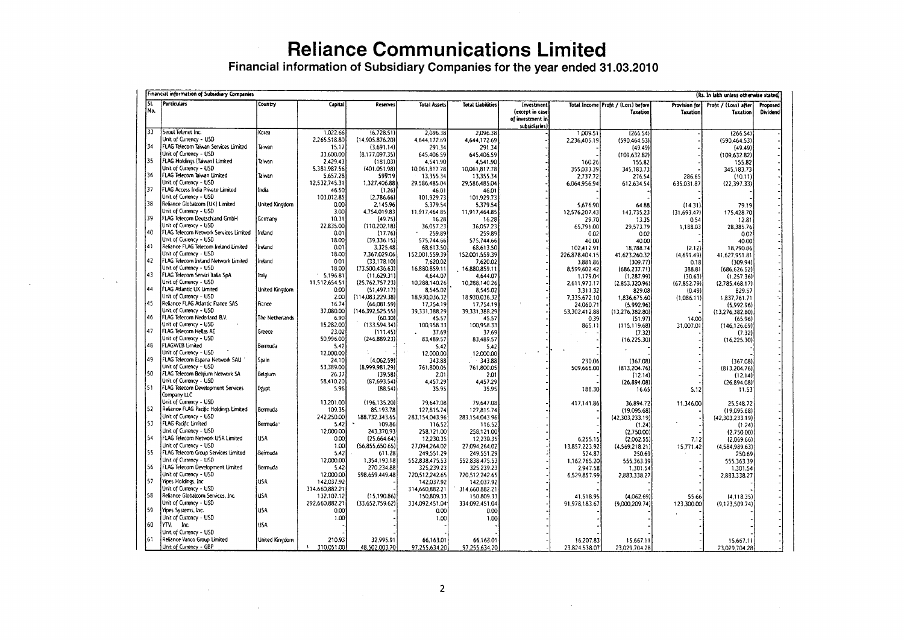Financial information of Subsidiary Companies for the year ended 31.03.2010

|             | Financial information of Subsidiary Companies<br>(Rs. In lakh unless otherwise stated) |                 |                    |                                |                              |                              |                                                                   |                     |                                                 |                           |                                          |                      |
|-------------|----------------------------------------------------------------------------------------|-----------------|--------------------|--------------------------------|------------------------------|------------------------------|-------------------------------------------------------------------|---------------------|-------------------------------------------------|---------------------------|------------------------------------------|----------------------|
| Гsı.<br>Mo. | <b>Particulars</b>                                                                     | Country         | Capital            | <b>Reserves</b>                | <b>Total Assets</b>          | <b>Total Liabilities</b>     | Investment<br>(except in case<br>of investment in<br>subsidiaries |                     | Total Income Profit / (Loss) before<br>Taxation | Provision for<br>Taxation | Profit / (Loss) after<br><b>Taxation</b> | Proposed<br>Dividend |
| 33          | Seoul Telenet Inc.                                                                     | Korea           | 1,022.66           | (6,728.51)                     | 2.096.38                     | 2.096.38                     |                                                                   | 1.009.51            | (266.54)                                        |                           | (266.54)                                 |                      |
| 34          | Unit of Currency - USD                                                                 |                 | 2,265,518.80       | (14,905,876.20)                | 4,644,172.69                 | 4,644,172.69                 |                                                                   | 2,236,405.19        | (590.464.53)                                    |                           | (590, 464.53)                            |                      |
|             | FLAG Telecorn Taiwan Services Limited<br>Unit of Currency - USD                        | Taiwan          | 15.17<br>33.600.00 | (3.691.14)<br>(8, 177, 097.35) | 291.34                       | 291.34                       |                                                                   |                     | (49.49)                                         |                           | (49.49)                                  |                      |
| 35          | FLAG Holdings (Taiwan) Limited                                                         | Taiwan          | 2.429.43           | (181.03)                       | 645,406.59<br>4,541.90       | 645.406.59<br>4.541.90       |                                                                   | 160.26              | (109.632.82)<br>155.82                          |                           | (109, 632.82)<br>155.82                  |                      |
|             | Unit of Currency - USD                                                                 |                 | 5,381,987.56       | (401.051.98)                   | 10,061,817.78                | 10.061.817.78                |                                                                   | 355,033.39          | 345,183.73                                      |                           | 345,183.73                               |                      |
| 36          | FLAG Telecom Taiwan Limited                                                            | Taiwan          | 5,657.28           | 599.19                         | 13,355.34                    | 13,355.34                    |                                                                   | 2.737.72            | 276.54                                          | 286.65                    | (10.11)                                  |                      |
|             | Unit of Currency - USD                                                                 |                 | 12,532,745.31      | 1,327,406.88                   | 29,586,485.04                | 29,586,485.04                |                                                                   | 6,064,956.94        | 612,634.54                                      | 635.031.87                | (22, 397.33)                             |                      |
| 37          | FLAG Access India Private Limited                                                      | India           | 46.50              | (1.26)                         | 46.01                        | 46.01                        |                                                                   |                     |                                                 |                           |                                          |                      |
|             | Unit of Currency - USD                                                                 |                 | 103,012.85         | (2,786.66)                     | 101,929.73                   | 101,929.73                   |                                                                   |                     |                                                 |                           |                                          |                      |
| 38          | Reliance Globalcom (UK) Limited                                                        | United Kingdom  | 0.00               | 2,145.96                       | 5,379.54                     | 5,379.54                     |                                                                   | 5,676.90            | 64.88                                           | (14.31)                   | 79.19                                    |                      |
|             | Unit of Currency - USD                                                                 |                 | 3.00               | 4,754.019.83                   | 11,917,464.85                | 11,917,464.85                |                                                                   | 12,576,207,43       | 143.735.23                                      | (31, 693.47)              | 175,428.70                               |                      |
| 39          | FLAG Telecom Deutschland GmbH                                                          | Germany         | 10.31              | (49.75)                        | 16.28                        | 16.28                        |                                                                   | 29.70               | 13.35                                           | 0.54                      | 12.81                                    |                      |
| 40          | Unit of Currency - USD<br>FLAG Telecom Network Services Limited                        | Ireland         | 22,835.00          | (110, 202.18)                  | 36,057.23                    | 36,057.23                    |                                                                   | 65,791.00           | 29,573.79                                       | 1,188.03                  | 28,385.76                                |                      |
|             | Unit of Currency - USD                                                                 |                 | 0.01<br>18.00      | (17.76)<br>(39.336.15)         | 259.89<br>575,744.66         | 259.89<br>575.744.66         |                                                                   | 0.02                | 0.02                                            |                           | 0.02                                     |                      |
| 41          | Reliance FLAG Telecom Ireland Limited                                                  | Ireland         | 0.01               | 3,325.48                       | 68,613.50                    | 68,613.50                    |                                                                   | 40.00<br>102,412.91 | 40.00<br>18,788.74                              | (2.12)                    | 40.00<br>18,790.86                       |                      |
|             | Unit of Currency - USD                                                                 |                 | 18.00              | 7.367.029.06                   | 152,001,559.39               | 152,001,559.39               |                                                                   | 226,878,404.15      | 41.623.260.32                                   | (4,691.49)                | 41,627,951.81                            |                      |
| 42          | FLAG Telecom Ireland Network Limited                                                   | Ireland         | 0.01               | (33.178.10)                    | 7,620.02                     | 7,620.02                     |                                                                   | 3,881.86            | (309.77)                                        | 0.18                      | (309.94)                                 |                      |
|             | Unit of Currency - USD                                                                 |                 | 18.00              | (73,500,436.63)                | 16,880,859.11                | 16,880,859.11                |                                                                   | 8,599,602.42        | (686.237.71)                                    | 388.81                    | (686.626.52)                             |                      |
| 43          | FLAG Telecom Servizi Italia SpA                                                        | Italy           | 5,196.81           | (11.629.31)                    | 4,644.07                     | 4,644.07                     |                                                                   | 1,179.04            | (1, 287.99)                                     | (30.63)                   | (1.257.36)                               |                      |
|             | Unit of Currency - USD                                                                 |                 | 11,512,654.51      | (25, 762, 757.23)              | 10,288,140.26                | 10,288.140.26                |                                                                   | 2,611,973.17        | (2,853,320.96)                                  | (67, 852.79)              | (2,785,468.17)                           |                      |
| 44          | FLAG Atlantic UK Limited                                                               | United Kingdom  | 0.00               | (51, 497.17)                   | 8,545.02                     | 8,545.02                     |                                                                   | 3.311.32            | 829.08                                          | (0.49)                    | 829.57                                   |                      |
|             | Unit of Currency - USD                                                                 |                 | 2.00               | (114,083,229.38)               | 18,930,036.32                | 18,930,036.32                |                                                                   | 7.335.672.10        | 1,836,675.60                                    | (1,086.11)                | 1.837.761.71                             |                      |
| 45          | Reliance FLAG Atlantic France SAS                                                      | France          | 16.74              | (66,081.59)                    | 17,754.19                    | 17,754.19                    |                                                                   | 24,060.71           | (5.992.96)                                      |                           | (5,992.96)                               |                      |
| 46          | Unit of Currency - USD<br>FLAG Telecom Nederland B.V.                                  | The Netherlands | 37,080.00          | (146.392, 525.55)              | 39,331,388.29                | 39,331,388.29                |                                                                   | 53,302,412.88       | (13, 276, 382.80)                               |                           | (13,276,382.80)                          |                      |
|             | Unit of Currency - USD                                                                 |                 | 6.90<br>15,282.00  | (60.30)<br>(133,594.34)        | 45.57<br>100,958.33          | 45.57<br>100,958.33          |                                                                   | 0.39                | (51.97)                                         | 14.00                     | (65.96)                                  |                      |
| 47          | FLAG Telecom Hellas AE                                                                 | Greece          | 23.02              | (111.45)                       | 37.69                        | 37.69                        |                                                                   | 865.11              | (115, 119.68)<br>(7.32)                         | 31,007.01                 | (146, 126.69)<br>(7.32)                  |                      |
|             | Unit of Currency - USD                                                                 |                 | 50,996.00          | (246.889.23)                   | 83,489.57                    | 83,489.57                    |                                                                   |                     | (16, 225.30)                                    |                           | (16, 225.30)                             |                      |
| 48          | <b>FLAGWEB Limited</b>                                                                 | Bermuda         | 5.42               |                                | 5.42                         | 5.42                         |                                                                   |                     |                                                 |                           |                                          |                      |
|             | Unit of Currency - USD                                                                 |                 | 12,000.00          |                                | 12,000.00                    | 12,000.00                    | $\epsilon$                                                        |                     |                                                 |                           |                                          |                      |
| 49          | FLAG Telecom Espana Network SAU                                                        | Spain           | 24.10              | (4.062.59)                     | 343.88                       | 343.88                       |                                                                   | 230.06              | (367.08)                                        |                           | (367.08)                                 |                      |
|             | Unit of Currency - USD                                                                 |                 | 53,389.00          | (8,999,981.29)                 | 761,800.05                   | 761,800.05                   |                                                                   | 509,666.00          | (813, 204.76)                                   |                           | (813, 204.76)                            |                      |
| 50          | FLAG Telecom Belgium Network SA                                                        | Belgium         | 26.37              | (39.58)                        | 2.01                         | 2.01                         |                                                                   |                     | (12.14)                                         |                           | (12.14)                                  |                      |
| ls 1        | Unit of Currency - USD<br>FLAG Telecom Development Services                            |                 | 58,410.20          | (87, 693, 54)                  | 4,457.29                     | 4,457.29                     |                                                                   |                     | (26,894.08)                                     |                           | (26,894.08)                              |                      |
|             | Company LLC                                                                            | Egypt           | 5.96               | (88.54)                        | 35.95                        | 35.95                        |                                                                   | 188.30              | 16.65                                           | 5.12                      | 11.53                                    |                      |
|             | Unit of Currency - USD                                                                 |                 | 13,201.00          | (196, 135.20)                  | 79,647.08                    | 79,647.08                    |                                                                   | 417,141.86          | 36,894.72                                       | 11,346.00                 | 25,548.72                                |                      |
| 52          | Reliance FLAG Pacific Holdings Limited                                                 | Bermuda         | 109.35             | 85.193.78                      | 127,815.74                   | 127,815.74                   |                                                                   |                     | (19,095.68)                                     |                           | (19,095.68)                              |                      |
|             | Unit of Currency - USD                                                                 |                 | 242,250.00         | 188,732,343.65                 | 283,154,043.96               | 283,154,043.96               |                                                                   |                     | (42,303,233.19)                                 |                           | (42,303,233.19)                          |                      |
| 53          | FLAG Pacific Limited                                                                   | Bermuda '       | 5.42               | 109.86                         | 116.52                       | 116.52                       |                                                                   |                     | (1.24)                                          |                           | (1.24)                                   |                      |
|             | Unit of Currency - USD                                                                 |                 | 12,000.00          | 243,370.93                     | 258,121.00                   | 258,121.00                   |                                                                   |                     | (2,750.00)                                      |                           | (2,750.00)                               |                      |
| 54          | FLAG Telecom Network USA Limited                                                       | <b>USA</b>      | 0.00.              | (25,664.64)                    | 12,230.35                    | 12,230.35                    |                                                                   | 6,255.15            | (2,062.55)                                      | 7.12                      | (2,069.66)                               |                      |
|             | Unit of Currency - USD                                                                 |                 | 1.00               | (56,855,650.65)                | 27,094,264.02                | 27.094.264.02                |                                                                   | 13,857,223.92       | (4,569,218.21)                                  | 15,771.42                 | (4,584,989.63)                           |                      |
| 155         | FLAG Telecom Group Services Limited                                                    | Bermuda         | 5.42               | 611.28                         | 249,551.29                   | 249,551.29                   |                                                                   | 524.87              | 250.69                                          |                           | 250.69                                   |                      |
|             | Unit of Currency - USD                                                                 |                 | 12,000.00          | 1,354,193.18                   | 552.838.475.53               | 552,838,475.53               |                                                                   | 1,162,765.20        | 555,363.39                                      |                           | 555, 363.39                              |                      |
| 56          | FLAG Telecom Development Limited<br>Unit of Currency - USD                             | Bermuda         | 5.42<br>12,000.00  | 270,234.88                     | 325,239.23                   | 325.239.23                   |                                                                   | 2,947.58            | 1,301.54                                        |                           | 1,301.54                                 |                      |
| 57          | Yipes Holdings, Inc.                                                                   | <b>USA</b>      | 142.037.92         | 598,659,449.48                 | 720,512,242.65<br>142,037.92 | 720,512,242.65<br>142,037.92 |                                                                   | 6,529,857.99        | 2,883,338.27                                    |                           | 2,883,338.27                             |                      |
|             | Unit of Currency - USD                                                                 |                 | 314,660,882.21     |                                | 314,660,882.21               | 314.660.882.21               |                                                                   |                     |                                                 |                           |                                          |                      |
| 58          | Reliance Globalcom Services, Inc.                                                      | <b>USA</b>      | 132,107.12         | (15, 190.86)                   | 150,809.33                   | 150,809.33                   |                                                                   | 41,518.95           | (4.062.69)                                      | 55.66                     | (4, 118.35)                              |                      |
|             | Unit of Currency - USD                                                                 |                 | 292,660,882.21     | (33,652,759.62)                | 334.092.451.04               | 334,092,451.04               |                                                                   | 91,978,183.67       | (9,000,209.74)                                  | 123,300.00                | (9,123,509.74)                           |                      |
| 59          | Yipes Systems, Inc.                                                                    | <b>USA</b>      | 0.00               |                                | 0.00                         | 0.00                         |                                                                   |                     |                                                 |                           |                                          |                      |
|             | Unit of Currency - USD                                                                 |                 | 1.00               |                                | 1.00                         | 1.00                         |                                                                   |                     |                                                 |                           |                                          |                      |
| 60          | YTV,<br>Inc.                                                                           | USA             |                    |                                |                              |                              |                                                                   |                     |                                                 |                           |                                          |                      |
|             | Unit of Currency - USD                                                                 |                 |                    |                                |                              |                              |                                                                   |                     |                                                 |                           |                                          |                      |
| 161         | Reliance Vanco Group Limited                                                           | United Kingdom  | 210.93             | 32.995.91                      | 66,163.01                    | 66.163.01                    |                                                                   | 16,207.83           | 15.667.11                                       |                           | 15.667.11                                |                      |
|             | Unit of Currency - GBP                                                                 |                 | 310,051.00         | 48,502,003.70                  | 97,255,634.20                | 97.255.634.20                |                                                                   | 23,824,538.07       | 23,029,704.28                                   |                           | 23,029,704.28                            |                      |

 $\sim 10^7$  $\sim$   $\sim$ 

 $\sim$   $\mu$  .

 $\sim$   $\sim$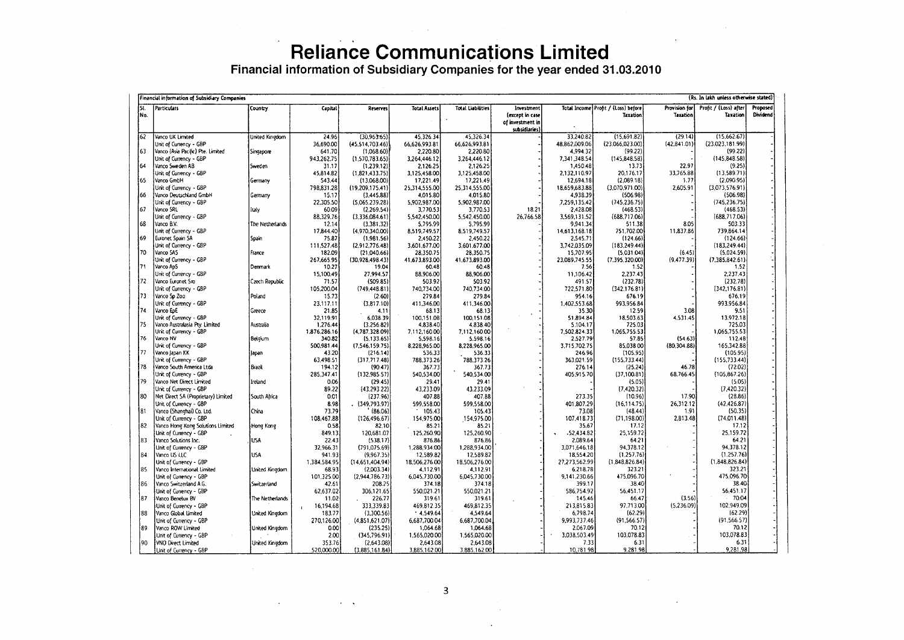Financial information of Subsidiary Companies for the year ended 31.03.2010

|            | (Rs. In lakh unless otherwise stated)<br>Financial information of Subsidiary Companies |                       |                      |                               |                           |                           |                                                                   |                           |                                                 |                           |                                          |                      |
|------------|----------------------------------------------------------------------------------------|-----------------------|----------------------|-------------------------------|---------------------------|---------------------------|-------------------------------------------------------------------|---------------------------|-------------------------------------------------|---------------------------|------------------------------------------|----------------------|
| SI.<br>No. | <b>Particulars</b>                                                                     | Country               | Capital.             | Reserves                      | <b>Total Assets</b>       | <b>Total Liabilities</b>  | Investment<br>(except in case<br>of investment in<br>subsidiaries |                           | Total Income Profit / (Loss) before<br>Taxation | Provision for<br>Taxation | Profit / (Loss) after<br><b>Taxation</b> | Proposed<br>Dividend |
| 62         | Vanco UK Limited                                                                       | United Kingdom        | 24.96                | (30.963.65)                   | 45.326.34                 | 45.326.34                 |                                                                   | 33.240.82                 | (15,691.82)                                     | (29.14)                   | (15,662.67)                              |                      |
|            | Unit of Currency - GBP                                                                 |                       | 36,690.00            | (45,514,703.46)               | 66,626,993.81             | 66.626,993.81             |                                                                   | 48,862,009.06             | (23,066,023.00)                                 | (42, 841.01)              | (23.023.181.99)                          |                      |
| 63         | Vanco (Asia Pacific) Pte. Limited                                                      | Singapore             | 641.70               | (1,068.60)                    | 2,220.80                  | 2,220.80                  |                                                                   | 4,994.32                  | (99.22)                                         |                           | (99.22)                                  |                      |
|            | Unit of Currency - GBP                                                                 |                       | 943.262.75           | (1,570,783.65)                | 3,264,446.12              | 3,264,446.12              |                                                                   | 7.341.348.54              | (145, 848.58)                                   |                           | (145, 848.58)                            |                      |
| 64         | Vanco Sweden AB                                                                        | Sweden                | 31.17                | (1.239.12)                    | 2.126.25                  | 2,126.25                  |                                                                   | 1,450.48                  | 13.73                                           | 22.97                     | (9.25)                                   |                      |
|            | Unit of Currency - GBP                                                                 |                       | 45,814.82            | (1,821.433.75)                | 3,125,458.00              | 3,125,458.00              |                                                                   | 2,132,110.97              | 20,176.17                                       | 33,765.88                 | (13,589.71)                              |                      |
| 65         | Vanco GmbH                                                                             | Germany               | 543.44               | (13,068,00)                   | 17,221.49                 | 17,221.49                 |                                                                   | 12.694.18                 | (2,089.18)                                      | 1.77                      | (2,090.95)                               |                      |
|            | Unit of Currency - GBP                                                                 |                       | 798.831.28           | (19, 209, 175.41)             | 25,314,555.00             | 25.314.555.00             |                                                                   | 18.659.683.88             | (3.070.971.00)                                  | 2,605.91                  | (3,073,576.91)                           |                      |
| 66         | Vanco Deutschland GmbH                                                                 | Germany               | 15.17                | (3,445.88)                    | 4.015.80                  | 4,015.80                  |                                                                   | 4,938.39                  | (506.98)                                        |                           | (506.98)                                 |                      |
|            | Unit of Currency - GBP                                                                 |                       | 22,305.50            | (5,065,239.28)                | 5,902,987.00              | 5,902,987.00              |                                                                   | 7,259,135.42              | (745, 236.75)                                   |                           | (745, 236.75)                            |                      |
| 67         | Vanco SRL                                                                              | İtaly                 | 60.09                | (2,269.54)                    | 3,770.53                  | 3,770.53                  | 18.21                                                             | 2,428.08                  | (468.53)                                        |                           | (468.53)                                 |                      |
|            | Unit of Currency - GBP                                                                 |                       | 88.329.76            | (3,336,084.61)                | 5,542,450.00              | 5.542.450.00              | 26.766.58                                                         | 3.569.131.52              | (688.717.06)                                    |                           | (688, 717.06)                            |                      |
| 68         | Vanco B.V.                                                                             | The Netherlands       | 12.14                | (3,381,32)                    | 5.795.99                  | 5.795.99                  |                                                                   | 9,941.34                  | 511.38                                          | 8.05                      | 503.33                                   |                      |
|            | Unit of Currency - GBP                                                                 |                       | 17,844.40            | (4,970,340.00)                | 8519,749.57               | 8,519,749.57              |                                                                   | 14.613.168.18             | 751,702.00                                      | 11,837.86                 | 739,864.14                               |                      |
| 69         | Euronet Spain SA                                                                       | Spain                 | 75.87                | (1,981,56)                    | 2,450.22                  | 2,450.22                  |                                                                   | 2,545.71                  | (124.66)                                        |                           | (124.66)                                 |                      |
| 70         | Unit of Currency - GBP<br>Vanco SAS                                                    | France                | 111,527.48<br>182.09 | (2,912,776.48)<br>(21,040.66) | 3,601,677.00<br>28,350.75 | 3,601,677.00<br>28.350.75 |                                                                   | 3,742,035.09<br>15,707.95 | (183, 249.44)<br>(5.031.04)                     | (6.45)                    | (183, 249.44)<br>(5,024.59)              |                      |
|            | Unit of Currency - GBP                                                                 |                       | 267.665.95           | (30.928, 498.43)              | 41.673.893.00             | 41,673,893.00             |                                                                   | 23,089,745.55             | (7.395.320.00)                                  | (9,477.39)                | (7,385,842.61)                           |                      |
| 71         | Vanco ApS                                                                              | Denmark               | 10.27                | 19.04                         | 60.48                     | 60.48                     |                                                                   | 7.56                      | 1.52                                            |                           | 1.52                                     |                      |
|            | Unit of Currency - GBP                                                                 |                       | 15,100.49            | 27,994.57                     | 88,906.00                 | 88,906.00                 |                                                                   | 11,106.42                 | 2,237.43                                        |                           | 2,237.43                                 |                      |
| 72         | Vanco Euronet Sro                                                                      | Czech Republic        | 71.57                | (509.85)                      | 503.92                    | 503.92                    |                                                                   | 491.57                    | (232.78)                                        |                           | (232.78)                                 |                      |
|            | Unit of Currency - GBP                                                                 |                       | 105,200.04           | (749, 448.81)                 | 740,734.00                | 740,734.00                |                                                                   | 722,571.80                | (342, 176.81)                                   |                           | (342, 176.81)                            |                      |
| 73         | Vanco Sp Zoo                                                                           | Poland                | 15.73                | (2.60)                        | 279.84                    | 279.84                    |                                                                   | 954.16                    | 676.19                                          |                           | 676.19                                   |                      |
|            | Unit of Currency - GBP                                                                 |                       | 23,117.11            | (3,817.10)                    | 411,346.00                | 411,346.00                |                                                                   | 1,402,553.68              | 993,956.84                                      |                           | 993,956.84                               |                      |
| 74         | Vanco EpE                                                                              | Greece                | 21.85                | 4.11                          | 68.13                     | 68.13                     |                                                                   | 35.30                     | 12.59                                           | 3.08                      | 9.51                                     |                      |
|            | Unit of Currency - GBP                                                                 |                       | 32,119.91            | 6,038.39                      | 100,151.08                | 100,151.08                |                                                                   | 51.894.84                 | 18,503.63                                       | 4.531.45                  | 13.972.18                                |                      |
| 75         | Vanco Australasia Ptv. Limited                                                         | Australia             | 1,276.44             | (3,256.82)                    | 4,838.40                  | 4,838.40                  |                                                                   | 5,104.17                  | 725.03                                          |                           | 725.03                                   |                      |
|            | Unit of Currency - GBP                                                                 |                       | 1,876,286.16         | (4.787.328.09)                | 7.112.160.00              | 7,112,160.00              |                                                                   | 7,502.824.33              | 1,065,755.53                                    |                           | 1,065,755.53                             |                      |
| 76         | Vanco NV                                                                               | Belgium               | 340.82               | (5, 133.65)                   | 5,598.16                  | 5,598.16                  |                                                                   | 2,527.79                  | 57.85                                           | (54.63)                   | 112.48                                   |                      |
|            | Unit of Currency - GBP                                                                 |                       | 500.981.44           | (7,546,159.75)                | 8,228,965.00              | 8,228,965.00              |                                                                   | 3,715,702.75              | 85.03800                                        | (80, 304.88)              | 165.342.88                               |                      |
| 77         | Vanco Japan KK                                                                         | Japan                 | 43.20                | (216.14)                      | 536.33                    | 536.33                    |                                                                   | 246.96                    | (105.95)                                        |                           | (105.95)                                 |                      |
|            | Unit of Currency - GBP                                                                 |                       | 63,498.51            | (317,717.48)                  | 788.373.26                | 788.373.26                |                                                                   | 363,021.59                | (155, 733.44)                                   |                           | (155, 733.44)                            |                      |
| 78         | Vanco South America Ltda                                                               | Brazil                | 194.12               | (90.47)                       | 367.73                    | 367.73                    |                                                                   | 276.14                    | (25.24)                                         | 46.78                     | (72.02)                                  |                      |
|            | Unit of Currency - GBP                                                                 |                       | 285,347.41           | (132,985.57)                  | 540,534.00                | 540,534.00                |                                                                   | 405,915.70                | (37,100.81)                                     | 68,766.45                 | (105, 867.26)                            |                      |
| 179        | Vanco Net Direct Limited                                                               | Ireland               | 0.06                 | (29.45)                       | 29.41                     | 29.41                     |                                                                   |                           | (5.05)                                          |                           | (5.05)                                   |                      |
|            | Unit of Currency - GBP                                                                 |                       | 89.22                | (43, 293.22)                  | 43,233.09                 | 43,233.09                 |                                                                   |                           | (7, 420.32)                                     |                           | (7, 420.32)                              |                      |
| 80         | Net Direct SA (Proprietary) Limited                                                    | South Africa          | 0.01                 | (237.96)                      | 407.88                    | 407.88                    |                                                                   | 273.35                    | (10.96)                                         | 17.90                     | (28.86)                                  |                      |
|            | Unit of Currency - GBP                                                                 |                       | 8.98                 | (349.793.97)                  | 599,558.00                | 599,558.00                |                                                                   | 401,807.29                | (16, 114.75)                                    | 26,312.12                 | (42, 426.87)                             |                      |
| 81         | Vanco (Shanghai) Co. Ltd.                                                              | China                 | 73.79                | (86.06)                       | 105.43                    | 105.43                    |                                                                   | 73.08                     | (48.44)                                         | 1.91                      | (50.35)                                  |                      |
|            | Unit of Currency - GBP                                                                 |                       | 108,467.88           | (126, 496.67)                 | 154,975.00                | 154,975.00                |                                                                   | 107,418.73                | (71.198.00)                                     | 2,813.48                  | (74.011.48)<br>17.12                     |                      |
| 182        | Vanco Hong Kong Solutions Limited                                                      | Hong Kong             | 0.58                 | 82.10                         | 85.21                     | 85.21                     |                                                                   | 35.67                     | 17.12                                           |                           |                                          |                      |
| 83         | Unit of Currency - GBP                                                                 | <b>USA</b>            | 849.13<br>22.43      | 120,681.07                    | 125,260.90                | 125,260.90                |                                                                   | -52,434.82<br>2,089.64    | 25,159.72<br>64.21                              |                           | 25,159.72<br>64.21                       |                      |
|            | Vanco Solutions Inc.<br>Unit of Currency - GBP                                         |                       | 32,966.31            | (538.17)<br>(791, 075.69)     | 876.86<br>1,288,934.00    | 876.86<br>1,288,934.00    |                                                                   | 3,071,646.18              | 94,378.12                                       |                           | 94,378.12                                |                      |
| 84         | Vanco US LLC                                                                           | <b>USA</b>            | 941.93               | (9.967.35)                    | 12,589.82                 | 12,589.82                 |                                                                   | 18,554.20                 | (1, 257.76)                                     |                           | (1,257.76)                               |                      |
|            | Unit of Currency - GBP                                                                 |                       | 1,384,584.95         | (14,651,404,94)               | 18,506,276.00             | 18,506,276.00             |                                                                   | 27,273,562.99             | (1,848,826.84)                                  |                           | (1,848,826.84)                           |                      |
| 85         | Vanco International Limited                                                            | United Kingdom        | 68.93                | (2,003.34)                    | 4,112.91                  | 4,112.91                  |                                                                   | 6,218.78                  | 323.21                                          |                           | 323.21                                   |                      |
|            | Unit of Currency - GBP                                                                 |                       | 101,325.00           | (2,944,786.73)                | 6,045,730.00              | 6,045,730.00              |                                                                   | 9,141,230.66              | 475.096.70                                      |                           | 475,096.70                               |                      |
| 86         | Vanco Switzerland A.G.                                                                 | Switzerland           | 42.61                | 208.25                        | 374.18                    | 374.18                    |                                                                   | 399.17                    | 38.40                                           |                           | 38.40                                    |                      |
|            | Unit of Currency - GBP                                                                 |                       | 62,637.02            | 306,121.65                    | 550,021.21                | 550,021.21                |                                                                   | 586.754.92                | 56.451.17                                       |                           | 56.451.17                                |                      |
| 87         | Vanco Benetux BV                                                                       | The Netherlands       | 11.02                | 226.77                        | 319.61                    | 319.61                    |                                                                   | 145.46                    | 66.47                                           | (3.56)                    | 70.04                                    |                      |
|            | Unit of Currency - GBP                                                                 |                       | 16,194.68            | 333,339.83                    | 469,812.35                | 469,812.35                |                                                                   | 213,815.83                | 97.713.00                                       | (5,236.09)                | 102,949.09                               |                      |
| 88         | Vanco Global Limited                                                                   | United Kingdom        | 183.77               | (3,300.56)                    | .4,549.64                 | 4,549.64                  |                                                                   | 6,798.74                  | (62.29)                                         |                           | (62.29)                                  |                      |
|            | Unit of Currency - GBP                                                                 |                       | 270,126.00           | (4,851,621.07)                | 6,687,700.04              | 6,687,700.04              |                                                                   | 9,993,737.46              | (91, 566.57)                                    |                           | (91, 566.57)                             |                      |
| 189        | Vanco ROW Limited                                                                      | <b>United Kingdom</b> | 0.00                 | (235.25)                      | 1,064.68                  | 1,064.68                  |                                                                   | 2,067.09                  | 70.12                                           |                           | 70.12                                    |                      |
|            | Unit of Currency - GBP                                                                 |                       | 2.00                 | (345.796.91)                  | 1,565,020.00              | 1,565,020.00              |                                                                   | 3,038,503.49              | 103,078.83                                      |                           | 103,078.83                               |                      |
| 190        | <b>VNO Direct Limited</b>                                                              | United Kingdom        | 353.76               | (2,643.08)                    | 2,643.08                  | 2,643.08                  |                                                                   | 7.33                      | 6.31                                            |                           | 6.31                                     |                      |
|            | Unit of Currency - GBP                                                                 |                       | 520,000.00           | (3,885,161.84)                | 3,885.162.00              | 3,885,162.00              |                                                                   | 10,781.98                 | 9,281.98                                        |                           | 9,281.98                                 |                      |

**Contract Contract**